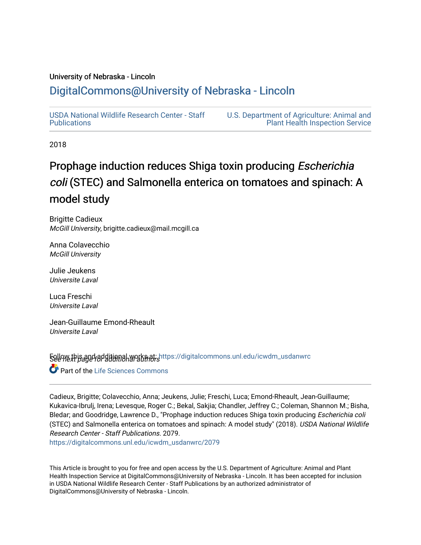### University of Nebraska - Lincoln

# [DigitalCommons@University of Nebraska - Lincoln](https://digitalcommons.unl.edu/)

[USDA National Wildlife Research Center - Staff](https://digitalcommons.unl.edu/icwdm_usdanwrc)  **Publications** 

[U.S. Department of Agriculture: Animal and](https://digitalcommons.unl.edu/usdaaphis)  [Plant Health Inspection Service](https://digitalcommons.unl.edu/usdaaphis) 

2018

# Prophage induction reduces Shiga toxin producing *Escherichia* coli (STEC) and Salmonella enterica on tomatoes and spinach: A model study

Brigitte Cadieux McGill University, brigitte.cadieux@mail.mcgill.ca

Anna Colavecchio McGill University

Julie Jeukens Universite Laval

Luca Freschi Universite Laval

Jean-Guillaume Emond-Rheault Universite Laval

**Follow this and additional works at: [https://digitalcommons.unl.edu/icwdm\\_usdanwrc](https://digitalcommons.unl.edu/icwdm_usdanwrc?utm_source=digitalcommons.unl.edu%2Ficwdm_usdanwrc%2F2079&utm_medium=PDF&utm_campaign=PDFCoverPages) C** Part of the Life Sciences Commons

Cadieux, Brigitte; Colavecchio, Anna; Jeukens, Julie; Freschi, Luca; Emond-Rheault, Jean-Guillaume; Kukavica-Ibrulj, Irena; Levesque, Roger C.; Bekal, Sakjia; Chandler, Jeffrey C.; Coleman, Shannon M.; Bisha, Bledar; and Goodridge, Lawrence D., "Prophage induction reduces Shiga toxin producing Escherichia coli (STEC) and Salmonella enterica on tomatoes and spinach: A model study" (2018). USDA National Wildlife Research Center - Staff Publications. 2079.

[https://digitalcommons.unl.edu/icwdm\\_usdanwrc/2079](https://digitalcommons.unl.edu/icwdm_usdanwrc/2079?utm_source=digitalcommons.unl.edu%2Ficwdm_usdanwrc%2F2079&utm_medium=PDF&utm_campaign=PDFCoverPages) 

This Article is brought to you for free and open access by the U.S. Department of Agriculture: Animal and Plant Health Inspection Service at DigitalCommons@University of Nebraska - Lincoln. It has been accepted for inclusion in USDA National Wildlife Research Center - Staff Publications by an authorized administrator of DigitalCommons@University of Nebraska - Lincoln.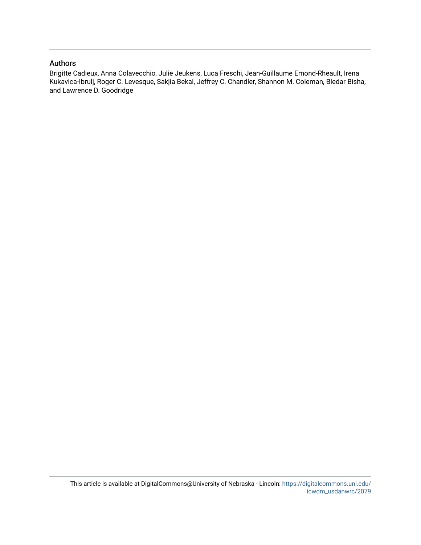### Authors

Brigitte Cadieux, Anna Colavecchio, Julie Jeukens, Luca Freschi, Jean-Guillaume Emond-Rheault, Irena Kukavica-Ibrulj, Roger C. Levesque, Sakjia Bekal, Jeffrey C. Chandler, Shannon M. Coleman, Bledar Bisha, and Lawrence D. Goodridge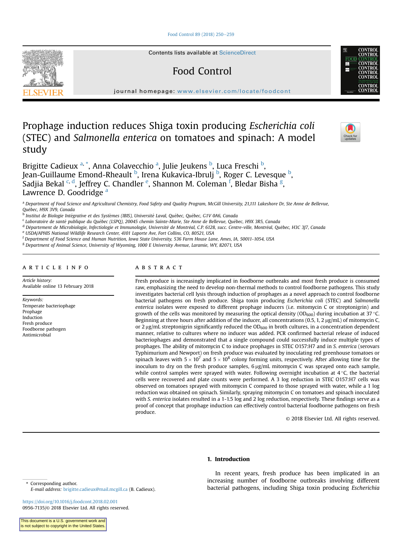#### [Food Control 89 \(2018\) 250](https://doi.org/10.1016/j.foodcont.2018.02.001)-[259](https://doi.org/10.1016/j.foodcont.2018.02.001)

Contents lists available at [ScienceDirect](www.sciencedirect.com/science/journal/09567135)

## Food Control

journal homepage: [www.elsevier.com/locate/foodcont](http://www.elsevier.com/locate/foodcont)

### Prophage induction reduces Shiga toxin producing Escherichia coli (STEC) and Salmonella enterica on tomatoes and spinach: A model study

Brigitte Cadieux <sup>a, \*</sup>, Anna Colavecchio <sup>a</sup>, Julie Jeukens <sup>b</sup>, Luca Freschi <sup>b</sup>, Jean-Guillaume Emond-Rheault <sup>b</sup>, Irena Kukavica-Ibrulj <sup>b</sup>, Roger C. Levesque <sup>b</sup>, Sadjia Bekal <sup>c, d</sup>, Jeffrey C. Chandler <sup>e</sup>, Shannon M. Coleman <sup>f</sup>, Bledar Bisha <sup>g</sup>, Lawrence D. Goodridge a

<sup>a</sup> Department of Food Science and Agricultural Chemistry, Food Safety and Quality Program, McGill University, 21,111 Lakeshore Dr, Ste Anne de Bellevue, Quebec, H9X 3V9, Canada

<sup>b</sup> Institut de Biologie Intégrative et des Systèmes (IBIS), Université Laval, Québec, Québec, G1V 0A6, Canada

<sup>c</sup> Laboratoire de sante publique du Quebec (LSPQ), 20045 chemin Sainte-Marie, Ste Anne de Bellevue, Quebec, H9X 3R5, Canada

<sup>d</sup> Département de Microbiologie, Infectiologie et Immunologie, Université de Montréal, C.P. 6128, succ. Centre-ville, Montréal, Québec, H3C 3J7, Canada

<sup>e</sup> USDA/APHIS National Wildlife Research Center, 4101 Laporte Ave, Fort Collins, CO, 80521, USA

<sup>f</sup> Department of Food Science and Human Nutrition, Iowa State University, 536 Farm House Lane, Ames, IA, 50011-1054, USA

<sup>g</sup> Department of Animal Science, University of Wyoming, 1000 E University Avenue, Laramie, WY, 82071, USA

#### article info

Article history: Available online 13 February 2018

Keywords: Temperate bacteriophage Prophage Induction Fresh produce Foodborne pathogen Antimicrobial

#### ABSTRACT

Fresh produce is increasingly implicated in foodborne outbreaks and most fresh produce is consumed raw, emphasizing the need to develop non-thermal methods to control foodborne pathogens. This study investigates bacterial cell lysis through induction of prophages as a novel approach to control foodborne bacterial pathogens on fresh produce. Shiga toxin producing Escherichia coli (STEC) and Salmonella enterica isolates were exposed to different prophage inducers (i.e. mitomycin C or streptonigrin) and growth of the cells was monitored by measuring the optical density (OD<sub>600</sub>) during incubation at 37 °C. Beginning at three hours after addition of the inducer, all concentrations  $(0.5, 1, 2 \mu g/mL)$  of mitomycin C, or 2  $\mu$ g/mL streptonigrin significantly reduced the OD<sub>600</sub> in broth cultures, in a concentration dependent manner, relative to cultures where no inducer was added. PCR confirmed bacterial release of induced bacteriophages and demonstrated that a single compound could successfully induce multiple types of prophages. The ability of mitomycin C to induce prophages in STEC O157:H7 and in S. enterica (serovars Typhimurium and Newport) on fresh produce was evaluated by inoculating red greenhouse tomatoes or spinach leaves with  $5 \times 10^7$  and  $5 \times 10^8$  colony forming units, respectively. After allowing time for the inoculum to dry on the fresh produce samples,  $6 \mu g/mL$  mitomycin C was sprayed onto each sample, while control samples were sprayed with water. Following overnight incubation at  $4^{\circ}$ C, the bacterial cells were recovered and plate counts were performed. A 3 log reduction in STEC O157:H7 cells was observed on tomatoes sprayed with mitomycin C compared to those sprayed with water, while a 1 log reduction was obtained on spinach. Similarly, spraying mitomycin C on tomatoes and spinach inoculated with S. enterica isolates resulted in a 1-1.5 log and 2 log reduction, respectively. These findings serve as a proof of concept that prophage induction can effectively control bacterial foodborne pathogens on fresh produce.

© 2018 Elsevier Ltd. All rights reserved.

#### 1. Introduction

In recent years, fresh produce has been implicated in an increasing number of foodborne outbreaks involving different forresponding author.<br>E-mail address: brigitte cadieux@mail mogill ca (B Cadieux) bacterial pathogens, including Shiga toxin producing Escherichia

E-mail address: [brigitte.cadieux@mail.mcgill.ca](mailto:brigitte.cadieux@mail.mcgill.ca) (B. Cadieux).

<https://doi.org/10.1016/j.foodcont.2018.02.001> 0956-7135/© 2018 Elsevier Ltd. All rights reserved.

This document is a U.S. government work and is not subject to copyright in the United States





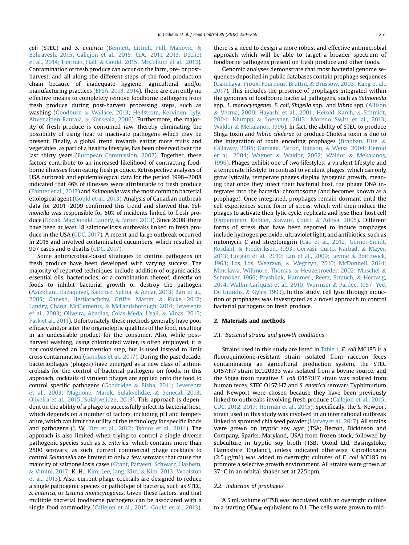coli (STEC) and S. enterica [\(Bennett, Littrell, Hill, Mahovic,](#page-10-0) & [Behravesh, 2015; Callejon et al., 2015; CDC, 2011, 2013; Dechet](#page-10-0) [et al., 2014; Herman, Hall,](#page-10-0) & [Gould, 2015; McCollum et al., 2013\)](#page-10-0). Contamination of fresh produce can occur on the farm, pre- or postharvest, and all along the different steps of the food production chain because of inadequate hygiene, agricultural and/or manufacturing practices [\(EFSA, 2013, 2014](#page-10-0)). There are currently no effective means to completely remove foodborne pathogens from fresh produce during post-harvest processing steps, such as washing [\(Goodburn](#page-10-0) & [Wallace, 2013; Hellstrom, Kervinen, Lyly,](#page-10-0) [Ahvenainen-Rantala,](#page-10-0) & [Korkeala, 2006\)](#page-10-0). Furthermore, the majority of fresh produce is consumed raw, thereby eliminating the possibility of using heat to inactivate pathogens which may be present. Finally, a global trend towards eating more fruits and vegetables, as part of a healthy lifestyle, has been observed over the last thirty years ([European Commission, 2007](#page-10-0)). Together, these factors contribute to an increased likelihood of contracting foodborne illnesses from eating fresh produce. Retrospective analyses of USA outbreak and epidemiological data for the period 1998–2008 indicated that 46% of illnesses were attributable to fresh produce ([Painter et al., 2013](#page-11-0)) and Salmonella was the most common bacterial etiological agent [\(Gould et al., 2013\)](#page-10-0). Analysis of Canadian outbreak data for  $2001-2009$  confirmed this trend and showed that Salmonella was responsible for 50% of incidents linked to fresh produce [\(Kozak, MacDonald, Landry,](#page-10-0) & [Farber, 2013\)](#page-10-0). Since 2008, there have been at least 18 salmonellosis outbreaks linked to fresh produce in the USA [\(CDC, 2017\)](#page-10-0). A recent and large outbreak occurred in 2015 and involved contaminated cucumbers, which resulted in 907 cases and 6 deaths ([CDC, 2017\)](#page-10-0).

Some antimicrobial-based strategies to control pathogens on fresh produce have been developed with varying success. The majority of reported techniques include addition of organic acids, essential oils, bacteriocins, or a combination thereof, directly on foods to inhibit bacterial growth or destroy the pathogen ([Azizkhani, Elizaquivel, Sanchez, Selma,](#page-10-0) & [Aznar, 2013; Bari et al.,](#page-10-0) [2005; Ganesh, Hettiarachchy, Grif](#page-10-0)fis, Martin, & [Ricke, 2012;](#page-10-0) [Landry, Chang, McClements,](#page-10-0) & [McLandsborough, 2014; Leverentz](#page-10-0) [et al., 2003; Oliveira, Abadias, Colas-Meda, Usall,](#page-10-0) & [Vinas, 2015;](#page-10-0) [Park et al., 2011](#page-10-0)). Unfortunately, these methods generally have poor efficacy and/or alter the organoleptic qualities of the food, resulting in an undesirable product for the consumer. Also, while postharvest washing, using chlorinated water, is often employed, it is not considered an intervention step, but is used instead to limit cross contamination [\(Gombas et al., 2017](#page-10-0)). During the past decade, bacteriophages (phages) have emerged as a new class of antimicrobials for the control of bacterial pathogens on foods. In this approach, cocktails of virulent phages are applied onto the food to control specific pathogens ([Goodridge](#page-10-0) & [Bisha, 2011; Leverentz](#page-10-0) [et al., 2003; Magnone, Marek, Sulakvelidze,](#page-10-0) & [Senecal, 2013;](#page-10-0) [Oliveira et al., 2015; Sulakvelidze, 2013](#page-10-0)). This approach is dependent on the ability of a phage to successfully infect its bacterial host, which depends on a number of factors, including pH and temperature, which can limit the utility of the technology for specific foods and pathogens (J. W. [Kim et al., 2012; Tsonos et al., 2014\)](#page-10-0). The approach is also limited when trying to control a single diverse pathogenic species such as S. enterica, which contains more than 2500 serovars; as such, current commercial phage cocktails to control Salmonella are limited to only a few serovars that cause the majority of salmonellosis cases ([Grant, Parveen, Schwarz, Hashem,](#page-10-0) & [Vimini, 2017](#page-10-0); K. H.; [Kim, Lee, Jang, Kim,](#page-10-0) & [Kim, 2013; Woolston](#page-10-0) [et al., 2013](#page-10-0)). Also, current phage cocktails are designed to reduce a single pathogenic species or pathotype of bacteria, such as STEC, S. enterica, or Listeria monocytogenes. Given these factors, and that multiple bacterial foodborne pathogens can be associated with a single food commodity ([Callejon et al., 2015; Gould et al., 2013\)](#page-10-0), there is a need to design a more robust and effective antimicrobial approach which will be able to target a broader spectrum of foodborne pathogens present on fresh produce and other foods.

Genomic analyses demonstrate that most bacterial genome sequences deposited in public databases contain prophage sequences ([Canchaya, Proux, Fournous, Bruttin,](#page-10-0) & [Brussow, 2003; Kang et al.,](#page-10-0) [2017](#page-10-0)). This includes the presence of prophages integrated within the genomes of foodborne bacterial pathogens, such as Salmonella spp., L. monocytogenes, E. coli, Shigella spp., and Vibrio spp. ([Allison](#page-10-0) & [Verma, 2000; Hayashi et al., 2001; Herold, Karch,](#page-10-0) & [Schmidt,](#page-10-0) [2004; Klumpp](#page-10-0) & [Loessner, 2013; Moreno Switt et al., 2013;](#page-10-0) [Waldor](#page-10-0) & [Mekalanos, 1996\)](#page-10-0). In fact, the ability of STEC to produce Shiga toxin and Vibrio cholerae to produce Cholera toxin is due to the integration of toxin encoding prophages [\(Brabban, Hite,](#page-10-0) & [Callaway, 2005; Gamage, Patton, Hanson,](#page-10-0) & [Weiss, 2004; Herold](#page-10-0) [et al., 2004; Wagner](#page-10-0) & [Waldor, 2002; Waldor](#page-10-0) & [Mekalanos,](#page-10-0) [1996\)](#page-10-0). Phages exhibit one of two lifestyles: a virulent lifestyle and a temperate lifestyle. In contrast to virulent phages, which can only grow lytically, temperate phages display lysogenic growth, meaning that once they infect their bacterial host, the phage DNA integrates into the bacterial chromosome (and becomes known as a prophage). Once integrated, prophages remain dormant until the cell experiences some form of stress, which will then induce the phages to activate their lytic cycle, replicate and lyse their host cell ([Oppenheim, Kobiler, Stavans, Court,](#page-11-0) & [Adhya, 2005\)](#page-11-0). Different forms of stress that have been reported to induce prophages include hydrogen peroxide, ultraviolet light, and antibiotics, such as mitomycin C and streptonigrin [\(Cao et al., 2012; Gerner-Smidt,](#page-10-0) [Rosdahl,](#page-10-0) & [Frederiksen, 1993; Gervasi, Curto, Narbad,](#page-10-0) & [Mayer,](#page-10-0) [2013; Horgan et al., 2010; Lan et al., 2009; Levine](#page-10-0) & [Borthwick,](#page-10-0) [1963; Los, Los, Wegrzyn,](#page-10-0) & [Wegrzyn, 2010; McDonnell, 2014;](#page-10-0) [Mmolawa, Willmore, Thomas,](#page-10-0) & [Heuzenroeder, 2002; Muschel](#page-10-0) & [Schmoker, 1966; Pryshliak, Hammerl, Reetz, Strauch,](#page-10-0) & [Hertwig,](#page-10-0) [2014; Wallin-Carlquist et al., 2010; Wormser](#page-10-0) & [Pardee, 1957; Yee,](#page-10-0) [De Grandis,](#page-10-0) & [Gyles, 1993](#page-10-0)). In this study, cell lysis through induction of prophages was investigated as a novel approach to control bacterial pathogens on fresh produce.

#### 2. Materials and methods

#### 2.1. Bacterial strains and growth conditions

Strains used in this study are listed in [Table 1.](#page-4-0) E. coli MC185 is a fluoroquinolone-resistant strain isolated from raccoon feces contaminating an agricultural production system, the STEC O157:H7 strain EC920333 was isolated from a bovine source, and the Shiga toxin negative E. coli O157:H7 strain was isolated from human feces. STEC O157:H7 and S. enterica serovars Typhimurium and Newport were chosen because they have been previously linked to outbreaks involving fresh produce ([Callejon et al., 2015;](#page-10-0) [CDC, 2012, 2017; Herman et al., 2015](#page-10-0)). Specifically, the S. Newport strain used in this study was involved in an international outbreak linked to sprouted chia seed powder [\(Harvey et al., 2017\)](#page-10-0). All strains were grown on tryptic soy agar (TSA; Becton, Dickinson and Company, Sparks, Maryland, USA) from frozen stock, followed by subculture in tryptic soy broth (TSB; Oxoid Ltd, Basingstoke, Hampshire, England), unless indicated otherwise. Ciprofloxacin  $(2.5 \,\mu$ g/mL) was added to overnight cultures of *E. coli* MC185 to promote a selective growth environment. All strains were grown at 37 $\degree$ C in an orbital shaker set at 225 rpm.

#### 2.2. Induction of prophages

A 5 mL volume of TSB was inoculated with an overnight culture to a starting  $OD_{600}$  equivalent to 0.1. The cells were grown to mid-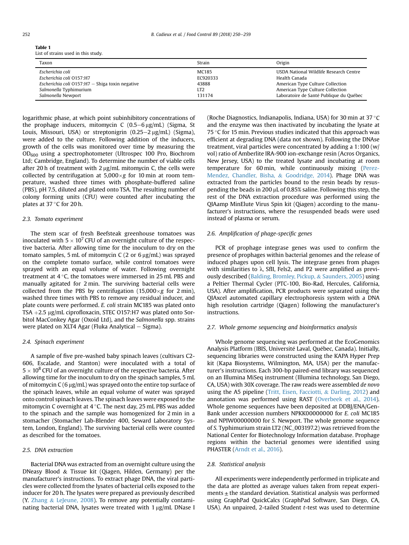<span id="page-4-0"></span>

| Table 1                             |  |
|-------------------------------------|--|
| List of strains used in this study. |  |

| Taxon                                               | Strain   | Origin                                  |
|-----------------------------------------------------|----------|-----------------------------------------|
| Escherichia coli                                    | MC185    | USDA National Wildlife Research Centre  |
| Escherichia coli O157:H7                            | EC920333 | Health Canada                           |
| Escherichia coli $O157$ : H7 - Shiga toxin negative | 43888    | American Type Culture Collection        |
| Salmonella Typhimurium                              | LT2      | American Type Culture Collection        |
| Salmonella Newport                                  | 131174   | Laboratoire de Santé Publique du Québec |

logarithmic phase, at which point subinhibitory concentrations of the prophage inducers, mitomycin C  $(0.5-6 \mu g/mL)$  (Sigma, St Louis, Missouri, USA) or streptonigrin  $(0.25-2 \mu g/mL)$  (Sigma), were added to the culture. Following addition of the inducers, growth of the cells was monitored over time by measuring the  $OD<sub>600</sub>$  using a spectrophotometer (Ultrospec 100 Pro, Biochrom Ltd; Cambridge, England). To determine the number of viable cells after 20 h of treatment with 2  $\mu$ g/mL mitomycin C, the cells were collected by centrifugation at  $5,000 \times g$  for 10 min at room temperature, washed three times with phosphate-buffered saline (PBS), pH 7.5, diluted and plated onto TSA. The resulting number of colony forming units (CFU) were counted after incubating the plates at  $37^{\circ}$ C for 20 h.

#### 2.3. Tomato experiment

The stem scar of fresh Beefsteak greenhouse tomatoes was inoculated with  $5 \times 10^7$  CFU of an overnight culture of the respective bacteria. After allowing time for the inoculum to dry on the tomato samples, 5 mL of mitomycin C (2 or 6  $\mu$ g/mL) was sprayed on the complete tomato surface, while control tomatoes were sprayed with an equal volume of water. Following overnight treatment at  $4^{\circ}$ C, the tomatoes were immersed in 25 mL PBS and manually agitated for 2 min. The surviving bacterial cells were collected from the PBS by centrifugation (15,000 $\times$ g for 2 min), washed three times with PBS to remove any residual inducer, and plate counts were performed. E. coli strain MC185 was plated onto TSA  $+2.5$  µg/mL ciprofloxacin, STEC O157:H7 was plated onto Sorbitol MacConkey Agar (Oxoid Ltd), and the Salmonella spp. strains were plated on XLT4 Agar (Fluka Analytical  $-$  Sigma).

#### 2.4. Spinach experiment

A sample of five pre-washed baby spinach leaves (cultivars C2- 606, Escalade, and Stanton) were inoculated with a total of  $5 \times 10^8$  CFU of an overnight culture of the respective bacteria. After allowing time for the inoculum to dry on the spinach samples, 5 mL of mitomycin  $C(6 \mu g/mL)$  was sprayed onto the entire top surface of the spinach leaves, while an equal volume of water was sprayed onto control spinach leaves. The spinach leaves were exposed to the mitomycin C overnight at  $4^{\circ}$ C. The next day, 25 mL PBS was added to the spinach and the sample was homogenized for 2 min in a stomacher (Stomacher Lab-Blender 400, Seward Laboratory System, London, England). The surviving bacterial cells were counted as described for the tomatoes.

#### 2.5. DNA extraction

Bacterial DNA was extracted from an overnight culture using the DNeasy Blood & Tissue kit (Qiagen, Hilden, Germany) per the manufacturer's instructions. To extract phage DNA, the viral particles were collected from the lysates of bacterial cells exposed to the inducer for 20 h. The lysates were prepared as previously described (Y. [Zhang](#page-11-0) & [LeJeune, 2008](#page-11-0)). To remove any potentially contaminating bacterial DNA, lysates were treated with  $1 \mu g/mL$  DNase I (Roche Diagnostics, Indianapolis, Indiana, USA) for 30 min at 37 $\degree$ C and the enzyme was then inactivated by incubating the lysate at 75  $\degree$ C for 15 min. Previous studies indicated that this approach was efficient at degrading DNA (data not shown). Following the DNAse treatment, viral particles were concentrated by adding a 1:100 (w/ vol) ratio of Amberlite IRA-900 ion-exchange resin (Acros Organics, New Jersey, USA) to the treated lysate and incubating at room temperature for 60 min, while continuously mixing ([Perez-](#page-11-0)[Mendez, Chandler, Bisha,](#page-11-0) & [Goodridge, 2014](#page-11-0)). Phage DNA was extracted from the particles bound to the resin beads by resuspending the beads in 200  $\mu$ L of 0.85% saline. Following this step, the rest of the DNA extraction procedure was performed using the QIAamp MinElute Virus Spin kit (Qiagen) according to the manufacturer's instructions, where the resuspended beads were used instead of plasma or serum.

#### 2.6. Amplification of phage-specific genes

PCR of prophage integrase genes was used to confirm the presence of prophages within bacterial genomes and the release of induced phages upon cell lysis. The integrase genes from phages with similarities to  $\lambda$ , SfII, Fels2, and P2 were amplified as previously described [\(Balding, Bromley, Pickup,](#page-10-0) & [Saunders, 2005](#page-10-0)) using a Peltier Thermal Cycler (PTC-100, Bio-Rad, Hercules, California, USA). After amplification, PCR products were separated using the QIAxcel automated capillary electrophoresis system with a DNA high resolution cartridge (Qiagen) following the manufacturer's instructions.

#### 2.7. Whole genome sequencing and bioinformatics analysis

Whole genome sequencing was performed at the EcoGenomics Analysis Platform (IBIS, Université Laval, Québec, Canada). Initially, sequencing libraries were constructed using the KAPA Hyper Prep kit (Kapa Biosystems, Wilmington, MA, USA) per the manufacturer's instructions. Each 300-bp paired-end library was sequenced on an Illumina MiSeq instrument (Illumina technology, San Diego, CA, USA) with 30X coverage. The raw reads were assembled de novo using the A5 pipeline [\(Tritt, Eisen, Facciotti,](#page-11-0) & [Darling, 2012\)](#page-11-0) and annotation was performed using RAST ([Overbeek et al., 2014\)](#page-11-0). Whole genome sequences have been deposited at DDBJ/ENA/Gen-Bank under accession numbers NPKK00000000 for E. coli MC185 and NPIW00000000 for S. Newport. The whole genome sequence of S. Typhimurium strain LT2 (NC\_003197.2) was retrieved from the National Center for Biotechnology Information database. Prophage regions within the bacterial genomes were identified using PHASTER [\(Arndt et al., 2016](#page-10-0)).

#### 2.8. Statistical analysis

All experiments were independently performed in triplicate and the data are plotted as average values taken from repeat experiments  $\pm$  the standard deviation. Statistical analysis was performed using GraphPad QuickCalcs (GraphPad Software, San Diego, CA, USA). An unpaired, 2-tailed Student t-test was used to determine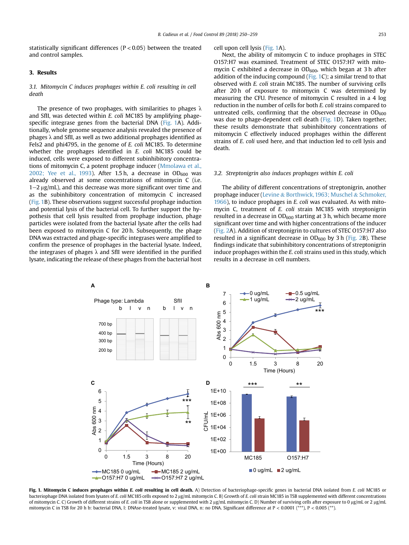statistically significant differences (P < 0.05) between the treated and control samples.

#### 3. Results

#### 3.1. Mitomycin C induces prophages within E. coli resulting in cell death

The presence of two prophages, with similarities to phages  $\lambda$ and SfII, was detected within E. coli MC185 by amplifying phagespecific integrase genes from the bacterial DNA (Fig. 1A). Additionally, whole genome sequence analysis revealed the presence of phages  $\lambda$  and SfII, as well as two additional prophages identified as Fels2 and phi4795, in the genome of E. coli MC185. To determine whether the prophages identified in E. coli MC185 could be induced, cells were exposed to different subinhibitory concentrations of mitomycin C, a potent prophage inducer [\(Mmolawa et al.,](#page-11-0) [2002; Yee et al., 1993\)](#page-11-0). After 1.5 h, a decrease in  $OD<sub>600</sub>$  was already observed at some concentrations of mitomycin C (i.e.  $1-2 \mu$ g/mL), and this decrease was more significant over time and as the subinhibitory concentration of mitomycin C increased (Fig. 1B). These observations suggest successful prophage induction and potential lysis of the bacterial cell. To further support the hypothesis that cell lysis resulted from prophage induction, phage particles were isolated from the bacterial lysate after the cells had been exposed to mitomycin C for 20 h. Subsequently, the phage DNA was extracted and phage-specific integrases were amplified to confirm the presence of prophages in the bacterial lysate. Indeed, the integrases of phages  $\lambda$  and SfII were identified in the purified lysate, indicating the release of these phages from the bacterial host

#### cell upon cell lysis (Fig. 1A).

Next, the ability of mitomycin C to induce prophages in STEC O157:H7 was examined. Treatment of STEC O157:H7 with mitomycin C exhibited a decrease in  $OD_{600}$ , which began at 3 h after addition of the inducing compound (Fig. 1C); a similar trend to that observed with E. coli strain MC185. The number of surviving cells after 20 h of exposure to mitomycin C was determined by measuring the CFU. Presence of mitomycin C resulted in a 4 log reduction in the number of cells for both E. coli strains compared to untreated cells, confirming that the observed decrease in  $OD_{600}$ was due to phage-dependent cell death (Fig. 1D). Taken together, these results demonstrate that subinhibitory concentrations of mitomycin C effectively induced prophages within the different strains of E. coli used here, and that induction led to cell lysis and death.

#### 3.2. Streptonigrin also induces prophages within E. coli

The ability of different concentrations of streptonigrin, another prophage inducer [\(Levine](#page-10-0) & [Borthwick, 1963; Muschel](#page-10-0) & [Schmoker,](#page-10-0) [1966](#page-10-0)), to induce prophages in E. coli was evaluated. As with mitomycin C, treatment of E. coli strain MC185 with streptonigrin resulted in a decrease in  $OD<sub>600</sub>$  starting at 3 h, which became more significant over time and with higher concentrations of the inducer ([Fig. 2](#page-6-0)A). Addition of streptonigrin to cultures of STEC O157:H7 also resulted in a significant decrease in  $OD<sub>600</sub>$  by 3 h [\(Fig. 2B](#page-6-0)). These findings indicate that subinhibitory concentrations of streptonigrin induce prophages within the E. coli strains used in this study, which results in a decrease in cell numbers.



Fig. 1. Mitomycin C induces prophages within E. coli resulting in cell death. A) Detection of bacteriophage-specific genes in bacterial DNA isolated from E. coli MC185 or bacteriophage DNA isolated from lysates of E. coli MC185 cells exposed to 2 µg/mL mitomycin C. B) Growth of E. coli strain MC185 in TSB supplemented with different concentrations of mitomycin C. C) Growth of different strains of E. coli in TSB alone or supplemented with 2 µg/mL mitomycin C. D) Number of surviving cells after exposure to 0 µg/mL or 2 µg/mL mitomycin C in TSB for 20 h b: bacterial DNA, l: DNAse-treated lysate, v: viral DNA, n: no DNA. Significant difference at P < 0.0001 (\*\*\*), P < 0.005 (\*\*).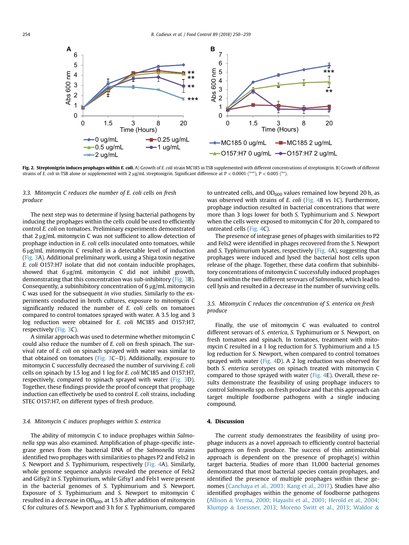<span id="page-6-0"></span>

Fig. 2. Streptonigrin induces prophages within E. coli. A) Growth of E. coli strain MC185 in TSB supplemented with different concentrations of streptonigrin. B) Growth of different strains of E. coli in TSB alone or supplemented with 2  $\mu$ g/mL streptonigrin. Significant difference at P < 0.0001 (\*\*\*), P < 0.005 (\*\*).

3.3. Mitomycin C reduces the number of E. coli cells on fresh produce

The next step was to determine if lysing bacterial pathogens by inducing the prophages within the cells could be used to efficiently control E. coli on tomatoes. Preliminary experiments demonstrated that  $2 \mu g/mL$  mitomycin C was not sufficient to allow detection of prophage induction in E. coli cells inoculated onto tomatoes, while  $6 \mu g/mL$  mitomycin C resulted in a detectable level of induction ([Fig. 3A](#page-7-0)). Additional preliminary work, using a Shiga toxin negative E. coli O157:H7 isolate that did not contain inducible prophages, showed that  $6 \mu g/mL$  mitomycin C did not inhibit growth, demonstrating that this concentration was sub-inhibitory [\(Fig. 3](#page-7-0)B). Consequently, a subinhibitory concentration of  $6 \mu g/mL$  mitomycin C was used for the subsequent in vivo studies. Similarly to the experiments conducted in broth cultures, exposure to mitomycin C significantly reduced the number of E. coli cells on tomatoes compared to control tomatoes sprayed with water. A 3.5 log and 3 log reduction were obtained for E. coli MC185 and O157:H7, respectively ([Fig. 3C](#page-7-0)).

A similar approach was used to determine whether mitomycin C could also reduce the number of E. coli on fresh spinach. The survival rate of E. coli on spinach sprayed with water was similar to that obtained on tomatoes (Fig.  $3C-D$ ). Additionally, exposure to mitomycin C successfully decreased the number of surviving E. coli cells on spinach by 1.5 log and 1 log for E. coli MC185 and O157:H7, respectively, compared to spinach sprayed with water ([Fig. 3](#page-7-0)D). Together, these findings provide the proof of concept that prophage induction can effectively be used to control E. coli strains, including STEC O157:H7, on different types of fresh produce.

#### 3.4. Mitomycin C induces prophages within S. enterica

The ability of mitomycin C to induce prophages within Salmonella spp was also examined. Amplification of phage-specific integrase genes from the bacterial DNA of the Salmonella strains identified two prophages with similarities to phages P2 and Fels2 in S. Newport and S. Typhimurium, respectively [\(Fig. 4](#page-8-0)A). Similarly, whole genome sequence analysis revealed the presence of Fels2 and Gifsy2 in S. Typhimurium, while Gifsy1 and Fels1 were present in the bacterial genomes of S. Typhimurium and S. Newport. Exposure of S. Typhimurium and S. Newport to mitomycin C resulted in a decrease in  $OD_{600}$ , at 1.5 h after addition of mitomycin C for cultures of S. Newport and 3 h for S. Typhimurium, compared to untreated cells, and  $OD_{600}$  values remained low beyond 20 h, as was observed with strains of E. coli [\(Fig. 4](#page-8-0)B vs 1C). Furthermore, prophage induction resulted in bacterial concentrations that were more than 3 logs lower for both S. Typhimurium and S. Newport when the cells were exposed to mitomycin C for 20 h, compared to untreated cells [\(Fig. 4C](#page-8-0)).

The presence of integrase genes of phages with similarities to P2 and Fels2 were identified in phages recovered from the S. Newport and S. Typhimurium lysates, respectively ([Fig. 4](#page-8-0)A), suggesting that prophages were induced and lysed the bacterial host cells upon release of the phage. Together, these data confirm that subinhibitory concentrations of mitomycin C successfully induced prophages found within the two different serovars of Salmonella, which lead to cell lysis and resulted in a decrease in the number of surviving cells.

#### 3.5. Mitomycin C reduces the concentration of S. enterica on fresh produce

Finally, the use of mitomycin C was evaluated to control different serovars of S. enterica, S. Typhimurium or S. Newport, on fresh tomatoes and spinach. In tomatoes, treatment with mitomycin C resulted in a 1 log reduction for S. Typhimurium and a 1.5 log reduction for S. Newport, when compared to control tomatoes sprayed with water ([Fig. 4](#page-8-0)D). A 2 log reduction was observed for both S. enterica serotypes on spinach treated with mitomycin C compared to those sprayed with water [\(Fig. 4](#page-8-0)E). Overall, these results demonstrate the feasibility of using prophage inducers to control Salmonella spp. on fresh produce and that this approach can target multiple foodborne pathogens with a single inducing compound.

#### 4. Discussion

The current study demonstrates the feasibility of using prophage inducers as a novel approach to efficiently control bacterial pathogens on fresh produce. The success of this antimicrobial approach is dependent on the presence of prophage(s) within target bacteria. Studies of more than 11,000 bacterial genomes demonstrated that most bacterial species contain prophages, and identified the presence of multiple prophages within these genomes ([Canchaya et al., 2003; Kang et al., 2017](#page-10-0)). Studies have also identified prophages within the genome of foodborne pathogens ([Allison](#page-10-0) & [Verma, 2000; Hayashi et al., 2001; Herold et al., 2004;](#page-10-0) [Klumpp](#page-10-0) & [Loessner, 2013; Moreno Switt et al., 2013; Waldor](#page-10-0) &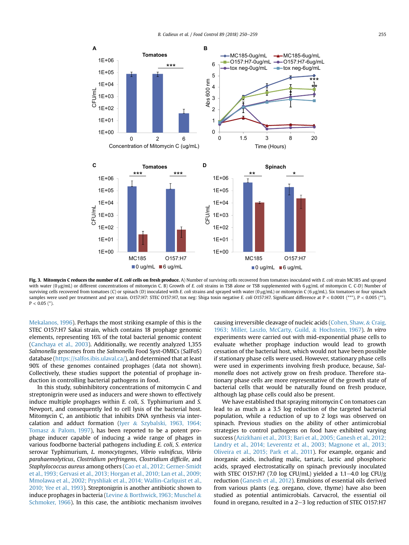<span id="page-7-0"></span>

Fig. 3. Mitomycin C reduces the number of E. coli cells on fresh produce. A) Number of surviving cells recovered from tomatoes inoculated with E. coli strain MC185 and sprayed with water (0 µg/mL) or different concentrations of mitomycin C. B) Growth of E. coli strains in TSB alone or TSB supplemented with 6 µg/mL of mitomycin C. C-D) Number of surviving cells recovered from tomatoes (C) or spinach (D) inoculated with E. coli strains and sprayed with water (0 µg/mL) or mitomycin C (6 µg/mL). Six tomatoes or four spinach samples were used per treatment and per strain. O157:H7: STEC O157:H7, tox neg: Shiga toxin negative E. coli O157:H7. Significant difference at P < 0.0001 (\*\*\*), P < 0.005 (\*\*),  $P < 0.05$  (\*).

[Mekalanos, 1996](#page-10-0)). Perhaps the most striking example of this is the STEC O157:H7 Sakai strain, which contains 18 prophage genomic elements, representing 16% of the total bacterial genomic content ([Canchaya et al., 2003\)](#page-10-0). Additionally, we recently analyzed 1,355 Salmonella genomes from the Salmonella Food Syst-OMICs (SalFoS) database ([https://salfos.ibis.ulaval.ca/\)](https://salfos.ibis.ulaval.ca/), and determined that at least 90% of these genomes contained prophages (data not shown). Collectively, these studies support the potential of prophage induction in controlling bacterial pathogens in food.

In this study, subinhibitory concentrations of mitomycin C and streptonigrin were used as inducers and were shown to effectively induce multiple prophages within E. coli, S. Typhimurium and S. Newport, and consequently led to cell lysis of the bacterial host. Mitomycin C, an antibiotic that inhibits DNA synthesis via intercalation and adduct formation [\(Iyer](#page-10-0) & [Szybalski, 1963, 1964;](#page-10-0) [Tomasz](#page-10-0) & [Palom, 1997\)](#page-10-0), has been reported to be a potent prophage inducer capable of inducing a wide range of phages in various foodborne bacterial pathogens including E. coli, S. enterica serovar Typhimurium, L. monocytogenes, Vibrio vulnificus, Vibrio parahaemolyticus, Clostridium perfringens, Clostridium difficile, and Staphylococcus aureus among others ([Cao et al., 2012; Gerner-Smidt](#page-10-0) [et al., 1993; Gervasi et al., 2013; Horgan et al., 2010; Lan et al., 2009;](#page-10-0) [Mmolawa et al., 2002; Pryshliak et al., 2014; Wallin-Carlquist et al.,](#page-10-0) [2010; Yee et al., 1993](#page-10-0)). Streptonigrin is another antibiotic shown to induce prophages in bacteria ([Levine](#page-10-0) & [Borthwick, 1963; Muschel](#page-10-0) & [Schmoker, 1966\)](#page-10-0). In this case, the antibiotic mechanism involves

causing irreversible cleavage of nucleic acids ([Cohen, Shaw,](#page-10-0) & [Craig,](#page-10-0) [1963; Miller, Laszlo, McCarty, Guild,](#page-10-0) & [Hochstein, 1967](#page-10-0)). In vitro experiments were carried out with mid-exponential phase cells to evaluate whether prophage induction would lead to growth cessation of the bacterial host, which would not have been possible if stationary phase cells were used. However, stationary phase cells were used in experiments involving fresh produce, because, Salmonella does not actively grow on fresh produce. Therefore stationary phase cells are more representative of the growth state of bacterial cells that would be naturally found on fresh produce, although lag phase cells could also be present.

We have established that spraying mitomycin C on tomatoes can lead to as much as a 3.5 log reduction of the targeted bacterial population, while a reduction of up to 2 logs was observed on spinach. Previous studies on the ability of other antimicrobial strategies to control pathogens on food have exhibited varying success [\(Azizkhani et al., 2013; Bari et al., 2005; Ganesh et al., 2012;](#page-10-0) [Landry et al., 2014; Leverentz et al., 2003; Magnone et al., 2013;](#page-10-0) [Oliveira et al., 2015; Park et al., 2011\)](#page-10-0). For example, organic and inorganic acids, including malic, tartaric, lactic and phosphoric acids, sprayed electrostatically on spinach previously inoculated with STEC 0157:H7 (7.0 log CFU/mL) yielded a 1.1-4.0 log CFU/g reduction [\(Ganesh et al., 2012\)](#page-10-0). Emulsions of essential oils derived from various plants (e.g. oregano, clove, thyme) have also been studied as potential antimicrobials. Carvacrol, the essential oil found in oregano, resulted in a  $2-3$  log reduction of STEC O157:H7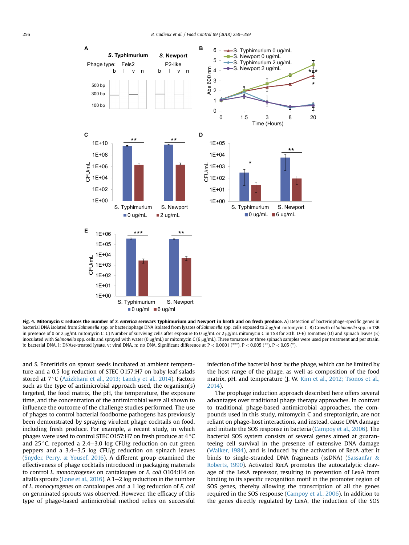<span id="page-8-0"></span>

Fig. 4. Mitomycin C reduces the number of S. enterica serovars Typhimurium and Newport in broth and on fresh produce. A) Detection of bacteriophage-specific genes in bacterial DNA isolated from Salmonella spp. or bacteriophage DNA isolated from lysates of Salmonella spp. cells exposed to 2 ug/mL mitomycin C. B) Growth of Salmonella spp. in TSB in presence of 0 or 2 µg/mL mitomycin C. C) Number of surviving cells after exposure to 0 µg/mL or 2 µg/mL mitomycin C in TSB for 20 h. D-E) Tomatoes (D) and spinach leaves (E) inoculated with Salmonella spp. cells and sprayed with water (0 µg/mL) or mitomycin C (6 µg/mL). Three tomatoes or three spinach samples were used per treatment and per strain. b: bacterial DNA, l: DNAse-treated lysate, v: viral DNA, n: no DNA. Significant difference at P < 0.0001 (\*\*\*), P < 0.005 (\*\*), P < 0.05 (\*).

and S. Enteritidis on sprout seeds incubated at ambient temperature and a 0.5 log reduction of STEC O157:H7 on baby leaf salads stored at  $7^{\circ}$ C ([Azizkhani et al., 2013; Landry et al., 2014](#page-10-0)). Factors such as the type of antimicrobial approach used, the organism(s) targeted, the food matrix, the pH, the temperature, the exposure time, and the concentration of the antimicrobial were all shown to influence the outcome of the challenge studies performed. The use of phages to control bacterial foodborne pathogens has previously been demonstrated by spraying virulent phage cocktails on food, including fresh produce. For example, a recent study, in which phages were used to control STEC 0157:H7 on fresh produce at 4 °C and 25 °C, reported a 2.4–3.0 log CFU/g reduction on cut green peppers and a  $3.4-3.5$  log CFU/g reduction on spinach leaves ([Snyder, Perry,](#page-11-0) & [Yousef, 2016\)](#page-11-0). A different group examined the effectiveness of phage cocktails introduced in packaging materials to control L. monocytogenes on cantaloupes or E. coli O104:H4 on alfalfa sprouts [\(Lone et al., 2016\)](#page-10-0). A  $1-2$  log reduction in the number of L. monocytogenes on cantaloupes and a 1 log reduction of E. coli on germinated sprouts was observed. However, the efficacy of this type of phage-based antimicrobial method relies on successful infection of the bacterial host by the phage, which can be limited by the host range of the phage, as well as composition of the food matrix, pH, and temperature (J. W. [Kim et al., 2012; Tsonos et al.,](#page-10-0) [2014\)](#page-10-0).

The prophage induction approach described here offers several advantages over traditional phage therapy approaches. In contrast to traditional phage-based antimicrobial approaches, the compounds used in this study, mitomycin C and streptonigrin, are not reliant on phage-host interactions, and instead, cause DNA damage and initiate the SOS response in bacteria [\(Campoy et al., 2006](#page-10-0)). The bacterial SOS system consists of several genes aimed at guaranteeing cell survival in the presence of extensive DNA damage ([Walker, 1984\)](#page-11-0), and is induced by the activation of RecA after it binds to single-stranded DNA fragments (ssDNA) [\(Sassanfar](#page-11-0) & [Roberts, 1990\)](#page-11-0). Activated RecA promotes the autocatalytic cleavage of the LexA repressor, resulting in prevention of LexA from binding to its specific recognition motif in the promoter region of SOS genes, thereby allowing the transcription of all the genes required in the SOS response ([Campoy et al., 2006](#page-10-0)). In addition to the genes directly regulated by LexA, the induction of the SOS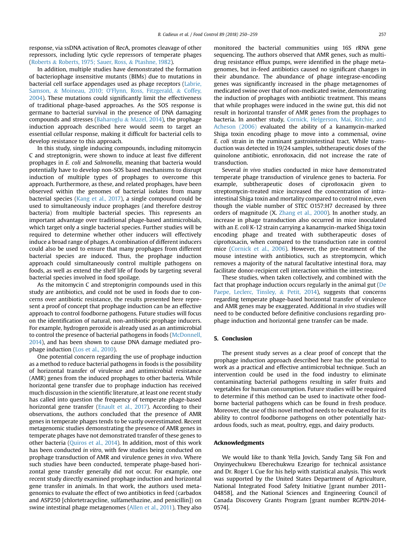response, via ssDNA activation of RecA, promotes cleavage of other repressors, including lytic cycle repressors of temperate phages ([Roberts](#page-11-0) & [Roberts, 1975; Sauer, Ross,](#page-11-0) & [Ptashne, 1982\)](#page-11-0).

In addition, multiple studies have demonstrated the formation of bacteriophage insensitive mutants (BIMs) due to mutations in bacterial cell surface appendages used as phage receptors ([Labrie,](#page-10-0) [Samson,](#page-10-0) & Moineau, 2010; O'[Flynn, Ross, Fitzgerald,](#page-10-0) & [Coffey,](#page-10-0) [2004\)](#page-10-0). These mutations could significantly limit the effectiveness of traditional phage-based approaches. As the SOS response is germane to bacterial survival in the presence of DNA damaging compounds and stresses ([Baharoglu](#page-10-0) & [Mazel, 2014\)](#page-10-0), the prophage induction approach described here would seem to target an essential cellular response, making it difficult for bacterial cells to develop resistance to this approach.

In this study, single inducing compounds, including mitomycin C and streptonigrin, were shown to induce at least five different prophages in E. coli and Salmonella, meaning that bacteria would potentially have to develop non-SOS based mechanisms to disrupt induction of multiple types of prophages to overcome this approach. Furthermore, as these, and related prophages, have been observed within the genomes of bacterial isolates from many bacterial species ([Kang et al., 2017\)](#page-10-0), a single compound could be used to simultaneously induce prophages (and therefore destroy bacteria) from multiple bacterial species. This represents an important advantage over traditional phage-based antimicrobials, which target only a single bacterial species. Further studies will be required to determine whether other inducers will effectively induce a broad range of phages. A combination of different inducers could also be used to ensure that many prophages from different bacterial species are induced. Thus, the prophage induction approach could simultaneously control multiple pathogens on foods, as well as extend the shelf life of foods by targeting several bacterial species involved in food spoilage.

As the mitomycin C and streptonigrin compounds used in this study are antibiotics, and could not be used in foods due to concerns over antibiotic resistance, the results presented here represent a proof of concept that prophage induction can be an effective approach to control foodborne pathogens. Future studies will focus on the identification of natural, non-antibiotic prophage inducers. For example, hydrogen peroxide is already used as an antimicrobial to control the presence of bacterial pathogens in foods [\(McDonnell,](#page-11-0) [2014\)](#page-11-0), and has been shown to cause DNA damage mediated prophage induction ([Los et al., 2010](#page-11-0)).

One potential concern regarding the use of prophage induction as a method to reduce bacterial pathogens in foods is the possibility of horizontal transfer of virulence and antimicrobial resistance (AMR) genes from the induced prophages to other bacteria. While horizontal gene transfer due to prophage induction has received much discussion in the scientific literature, at least one recent study has called into question the frequency of temperate phage-based horizontal gene transfer ([Enault et al., 2017](#page-10-0)). According to their observations, the authors concluded that the presence of AMR genes in temperate phages tends to be vastly overestimated. Recent metagenomic studies demonstrating the presence of AMR genes in temperate phages have not demonstrated transfer of these genes to other bacteria ([Quiros et al., 2014\)](#page-11-0). In addition, most of this work has been conducted in vitro, with few studies being conducted on prophage transduction of AMR and virulence genes in vivo. Where such studies have been conducted, temperate phage-based horizontal gene transfer generally did not occur. For example, one recent study directly examined prophage induction and horizontal gene transfer in animals. In that work, the authors used metagenomics to evaluate the effect of two antibiotics in feed (carbadox and ASP250 [chlortetracycline, sulfamethazine, and penicillin]) on swine intestinal phage metagenomes ([Allen et al., 2011\)](#page-10-0). They also monitored the bacterial communities using 16S rRNA gene sequencing. The authors observed that AMR genes, such as multidrug resistance efflux pumps, were identified in the phage metagenomes, but in-feed antibiotics caused no significant changes in their abundance. The abundance of phage integrase-encoding genes was significantly increased in the phage metagenomes of medicated swine over that of non-medicated swine, demonstrating the induction of prophages with antibiotic treatment. This means that while prophages were induced in the swine gut, this did not result in horizontal transfer of AMR genes from the prophages to bacteria. In another study, [Cornick, Helgerson, Mai, Ritchie, and](#page-10-0) [Acheson \(2006\)](#page-10-0) evaluated the ability of a kanamycin-marked Shiga toxin encoding phage to move into a commensal, ovine E. coli strain in the ruminant gastrointestinal tract. While transduction was detected in 19/24 samples, subtherapeutic doses of the quinolone antibiotic, enrofloxacin, did not increase the rate of transduction.

Several in vivo studies conducted in mice have demonstrated temperate phage transduction of virulence genes to bacteria. For example, subtherapeutic doses of ciprofloxacin given to streptomycin-treated mice increased the concentration of intraintestinal Shiga toxin and mortality compared to control mice, even though the viable number of STEC O157:H7 decreased by three orders of magnitude (X. [Zhang et al., 2000\)](#page-11-0). In another study, an increase in phage transduction also occurred in mice inoculated with an E. coli K-12 strain carrying a kanamycin-marked Shiga toxin encoding phage and treated with subtherapeutic doses of ciprofloxacin, when compared to the transduction rate in control mice ([Cornick et al., 2006](#page-10-0)). However, the pre-treatment of the mouse intestine with antibiotics, such as streptomycin, which removes a majority of the natural facultative intestinal flora, may facilitate donor-recipient cell interaction within the intestine.

These studies, when taken collectively, and combined with the fact that prophage induction occurs regularly in the animal gut [\(De](#page-10-0) [Paepe, Leclerc, Tinsley,](#page-10-0) & [Petit, 2014](#page-10-0)), suggests that concerns regarding temperate phage-based horizontal transfer of virulence and AMR genes may be exaggerated. Additional in vivo studies will need to be conducted before definitive conclusions regarding prophage induction and horizontal gene transfer can be made.

#### 5. Conclusion

The present study serves as a clear proof of concept that the prophage induction approach described here has the potential to work as a practical and effective antimicrobial technique. Such an intervention could be used in the food industry to eliminate contaminating bacterial pathogens resulting in safer fruits and vegetables for human consumption. Future studies will be required to determine if this method can be used to inactivate other foodborne bacterial pathogens which can be found in fresh produce. Moreover, the use of this novel method needs to be evaluated for its ability to control foodborne pathogens on other potentially hazardous foods, such as meat, poultry, eggs, and dairy products.

#### Acknowledgments

We would like to thank Yella Jovich, Sandy Tang Sik Fon and Onyinyechukwu Eberechukwu Ezearigo for technical assistance and Dr. Roger I. Cue for his help with statistical analysis. This work was supported by the United States Department of Agriculture, National Integrated Food Safety Initiative [grant number 2011- 04858], and the National Sciences and Engineering Council of Canada Discovery Grants Program [grant number RGPIN-2014- 0574].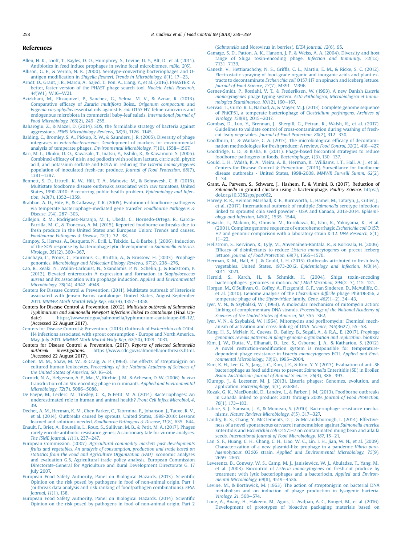#### <span id="page-10-0"></span>References

- [Allen, H. K., Looft, T., Bayles, D. O., Humphrey, S., Levine, U. Y., Alt, D., et al. \(2011\).](http://refhub.elsevier.com/S0956-7135(18)30047-1/sref1)
- [Antibiotics in feed induce prophages in swine fecal microbiomes.](http://refhub.elsevier.com/S0956-7135(18)30047-1/sref1) mBio, 2(6). [Allison, G. E., & Verma, N. K. \(2000\). Serotype-converting bacteriophages and O](http://refhub.elsevier.com/S0956-7135(18)30047-1/sref2)antigen modification in Shigella flexneri. Trends in Microbiology,  $8(1)$ ,  $17-23$ .
- [Arndt, D., Grant, J. R., Marcu, A., Sajed, T., Pon, A., Liang, Y., et al. \(2016\). PHASTER: A](http://refhub.elsevier.com/S0956-7135(18)30047-1/sref3) [better, faster version of the PHAST phage search tool.](http://refhub.elsevier.com/S0956-7135(18)30047-1/sref3) Nucleic Acids Research, 44[\(W1\), W16](http://refhub.elsevier.com/S0956-7135(18)30047-1/sref3)-[W21.](http://refhub.elsevier.com/S0956-7135(18)30047-1/sref3)
- [Azizkhani, M., Elizaquivel, P., Sanchez, G., Selma, M. V., & Aznar, R. \(2013\).](http://refhub.elsevier.com/S0956-7135(18)30047-1/sref4) Comparative efficacy of Zataria multiflora Boiss., [Origanum compactum](http://refhub.elsevier.com/S0956-7135(18)30047-1/sref4) and Eugenia caryophyllus essential oils against E. coli [O157:H7, feline calicivirus and](http://refhub.elsevier.com/S0956-7135(18)30047-1/sref4) [endogenous microbiota in commercial baby-leaf salads.](http://refhub.elsevier.com/S0956-7135(18)30047-1/sref4) International Journal of [Food Microbiology, 166](http://refhub.elsevier.com/S0956-7135(18)30047-1/sref4)(2), 249-[255](http://refhub.elsevier.com/S0956-7135(18)30047-1/sref4).
- [Baharoglu, Z., & Mazel, D. \(2014\). SOS, the formidable strategy of bacteria against](http://refhub.elsevier.com/S0956-7135(18)30047-1/sref5) aggressions. [FEMS Microbiology Reviews, 38](http://refhub.elsevier.com/S0956-7135(18)30047-1/sref5)(6), 1126-[1145.](http://refhub.elsevier.com/S0956-7135(18)30047-1/sref5)
- [Balding, C., Bromley, S. A., Pickup, R. W., & Saunders, J. R. \(2005\). Diversity of phage](http://refhub.elsevier.com/S0956-7135(18)30047-1/sref6) integrases in enterobacteriaceae[: Development of markers for environmental](http://refhub.elsevier.com/S0956-7135(18)30047-1/sref6) [analysis of temperate phages.](http://refhub.elsevier.com/S0956-7135(18)30047-1/sref6) Environmental Microbiology, 7(10), 1558-[1567.](http://refhub.elsevier.com/S0956-7135(18)30047-1/sref6)
- [Bari, M. L., Ukuku, D. O., Kawasaki, T., Inatsu, Y., Isshiki, K., & Kawamoto, S. \(2005\).](http://refhub.elsevier.com/S0956-7135(18)30047-1/sref7) Combined effi[cacy of nisin and pediocin with sodium lactate, citric acid, phytic](http://refhub.elsevier.com/S0956-7135(18)30047-1/sref7) [acid, and potassium sorbate and EDTA in reducing the](http://refhub.elsevier.com/S0956-7135(18)30047-1/sref7) Listeria monocytogenes [population of inoculated fresh-cut produce.](http://refhub.elsevier.com/S0956-7135(18)30047-1/sref7) Journal of Food Protection, 68(7), [1381](http://refhub.elsevier.com/S0956-7135(18)30047-1/sref7)-[1387.](http://refhub.elsevier.com/S0956-7135(18)30047-1/sref7)
- [Bennett, S. D., Littrell, K. W., Hill, T. A., Mahovic, M., & Behravesh, C. B. \(2015\).](http://refhub.elsevier.com/S0956-7135(18)30047-1/sref8) [Multistate foodborne disease outbreaks associated with raw tomatoes, United](http://refhub.elsevier.com/S0956-7135(18)30047-1/sref8) [States, 1990-2010: A recurring public health problem.](http://refhub.elsevier.com/S0956-7135(18)30047-1/sref8) Epidemiology and Infec-tion, 143[\(7\), 1352](http://refhub.elsevier.com/S0956-7135(18)30047-1/sref8)-[1359.](http://refhub.elsevier.com/S0956-7135(18)30047-1/sref8)
- [Brabban, A. D., Hite, E., & Callaway, T. R. \(2005\). Evolution of foodborne pathogens](http://refhub.elsevier.com/S0956-7135(18)30047-1/sref9) [via temperate bacteriophage-mediated gene transfer.](http://refhub.elsevier.com/S0956-7135(18)30047-1/sref9) Foodbourne Pathogens & [Disease, 2](http://refhub.elsevier.com/S0956-7135(18)30047-1/sref9)(4), 287-[303.](http://refhub.elsevier.com/S0956-7135(18)30047-1/sref9)
- [Callejon, R. M., Rodriguez-Naranjo, M. I., Ubeda, C., Hornedo-Ortega, R., Garcia-](http://refhub.elsevier.com/S0956-7135(18)30047-1/sref10)[Parrilla, M. C., & Troncoso, A. M. \(2015\). Reported foodborne outbreaks due to](http://refhub.elsevier.com/S0956-7135(18)30047-1/sref10) [fresh produce in the United States and European Union: Trends and causes.](http://refhub.elsevier.com/S0956-7135(18)30047-1/sref10) [Foodbourne Pathogens](http://refhub.elsevier.com/S0956-7135(18)30047-1/sref10) & Disease,  $12(1)$ ,  $32-38$ .
- [Campoy, S., Hervas, A., Busquets, N., Erill, I., Teixido, L., & Barbe, J. \(2006\). Induction](http://refhub.elsevier.com/S0956-7135(18)30047-1/sref11) [of the SOS response by bacteriophage lytic development in](http://refhub.elsevier.com/S0956-7135(18)30047-1/sref11) Salmonella enterica. Virology,  $351(2)$ ,  $360-367$ .
- [Canchaya, C., Proux, C., Fournous, G., Bruttin, A., & Brussow, H. \(2003\). Prophage](http://refhub.elsevier.com/S0956-7135(18)30047-1/sref12) genomics. [Microbiology and Molecular Biology Reviews, 67](http://refhub.elsevier.com/S0956-7135(18)30047-1/sref12)(2), 238-[276](http://refhub.elsevier.com/S0956-7135(18)30047-1/sref12).
- [Cao, R., Zeaki, N., Wallin-Carlquist, N., Skandamis, P. N., Schelin, J., & Radstrom, P.](http://refhub.elsevier.com/S0956-7135(18)30047-1/sref13) [\(2012\). Elevated enterotoxin A expression and formation in](http://refhub.elsevier.com/S0956-7135(18)30047-1/sref13) Staphylococcus aureus [and its association with prophage induction.](http://refhub.elsevier.com/S0956-7135(18)30047-1/sref13) Applied and Environmental [Microbiology, 78](http://refhub.elsevier.com/S0956-7135(18)30047-1/sref13)(14), 4942-[4948.](http://refhub.elsevier.com/S0956-7135(18)30047-1/sref13)
- [Centers for Disease Control](http://refhub.elsevier.com/S0956-7135(18)30047-1/sref14) & [Prevention. \(2011\). Multistate outbreak of listeriosis](http://refhub.elsevier.com/S0956-7135(18)30047-1/sref14) [associated with Jensen Farms cantaloupe](http://refhub.elsevier.com/S0956-7135(18)30047-1/sref14)-[United States, August-September](http://refhub.elsevier.com/S0956-7135(18)30047-1/sref14) 2011. MMWR Morb Mortal Wkly Rep,  $60(39)$ , 1357-[1358.](http://refhub.elsevier.com/S0956-7135(18)30047-1/sref14)
- Centers for Disease Control & Prevention. (2012). Multistate outbreak of Salmonella Typhimurium and Salmonella Newport infections linked to cantaloupe (Final Update) <https://www.cdc.gov/salmonella/typhimurium-cantaloupe-08-12/>. (Accessed 22 August 2017).
- [Centers for Disease Control](http://refhub.elsevier.com/S0956-7135(18)30047-1/sref16) & [Prevention. \(2013\). Outbreak of](http://refhub.elsevier.com/S0956-7135(18)30047-1/sref16) Escherichia coli O104: [H4 infections associated with sprout consumption - Europe and North America,](http://refhub.elsevier.com/S0956-7135(18)30047-1/sref16) May-July 2011. MMWR Morb Mortal Wkly Rep,  $62(50)$ ,  $1029-1031$ .
- Centers for Disease Control & Prevention. (2017). Reports of selected Salmonella outbreak investigations. <https://www.cdc.gov/salmonella/outbreaks.html>. (Accessed 22 August 2017).
- [Cohen, M. M., Shaw, M. W., & Craig, A. P. \(1963\). The effects of streptonigrin on](http://refhub.elsevier.com/S0956-7135(18)30047-1/sref18) cultured human leukocytes. [Proceedings of the National Academy of Sciences of](http://refhub.elsevier.com/S0956-7135(18)30047-1/sref18) [the United States of America, 50](http://refhub.elsevier.com/S0956-7135(18)30047-1/sref18),  $16-24$  $16-24$ .
- [Cornick, N. A., Helgerson, A. F., Mai, V., Ritchie, J. M., & Acheson, D. W. \(2006\).](http://refhub.elsevier.com/S0956-7135(18)30047-1/sref19) In vivo [transduction of an Stx-encoding phage in ruminants.](http://refhub.elsevier.com/S0956-7135(18)30047-1/sref19) Applied and Environmental [Microbiology, 72](http://refhub.elsevier.com/S0956-7135(18)30047-1/sref19)(7), 5086-[5088.](http://refhub.elsevier.com/S0956-7135(18)30047-1/sref19)
- [De Paepe, M., Leclerc, M., Tinsley, C. R., & Petit, M. A. \(2014\). Bacteriophages: An](http://refhub.elsevier.com/S0956-7135(18)30047-1/sref20) [underestimated role in human and animal health?](http://refhub.elsevier.com/S0956-7135(18)30047-1/sref20) Front Cell Infect Microbiol, 4, [39](http://refhub.elsevier.com/S0956-7135(18)30047-1/sref20).
- [Dechet, A. M., Herman, K. M., Chen Parker, C., Taormina, P., Johanson, J., Tauxe, R. V.,](http://refhub.elsevier.com/S0956-7135(18)30047-1/sref21) [et al. \(2014\). Outbreaks caused by sprouts, United States, 1998-2010: Lessons](http://refhub.elsevier.com/S0956-7135(18)30047-1/sref21) [learned and solutions needed.](http://refhub.elsevier.com/S0956-7135(18)30047-1/sref21) Foodbourne Pathogens & Disease,  $11(8)$ , 635–[644](http://refhub.elsevier.com/S0956-7135(18)30047-1/sref21).
- [Enault, F., Briet, A., Bouteille, L., Roux, S., Sullivan, M. B., & Petit, M. A. \(2017\). Phages](http://refhub.elsevier.com/S0956-7135(18)30047-1/sref22) [rarely encode antibiotic resistance genes: A cautionary tale for virome analyses.](http://refhub.elsevier.com/S0956-7135(18)30047-1/sref22) The ISME Journal,  $11(1)$ ,  $237-247$ .
- European Commission. (2007). [Agricultural commodity markets past developments](http://refhub.elsevier.com/S0956-7135(18)30047-1/sref23) [fruits and vegetables. An analysis of consumption, production and trade based on](http://refhub.elsevier.com/S0956-7135(18)30047-1/sref23) [statistics from the Food and Agriculture Organization \(FAO\)](http://refhub.elsevier.com/S0956-7135(18)30047-1/sref23). Economic analyses [and evaluation G.5, Agricultural trade policy analysis, European Commission](http://refhub.elsevier.com/S0956-7135(18)30047-1/sref23) [Directorate-General for Agriculture and Rural Development Directorate G. 17](http://refhub.elsevier.com/S0956-7135(18)30047-1/sref23) [July 2007.](http://refhub.elsevier.com/S0956-7135(18)30047-1/sref23)
- [European Food Safety Authority, Panel on Biological Hazards. \(2013\). Scienti](http://refhub.elsevier.com/S0956-7135(18)30047-1/sref24)fic [Opinion on the risk posed by pathogens in food of non-animal origin. Part 1](http://refhub.elsevier.com/S0956-7135(18)30047-1/sref24) [\(outbreak data analysis and risk ranking of food/pathogen combinations\).](http://refhub.elsevier.com/S0956-7135(18)30047-1/sref24) EFSA [Journal, 11](http://refhub.elsevier.com/S0956-7135(18)30047-1/sref24)(1), 138.
- [European Food Safety Authority, Panel on Biological Hazards. \(2014\). Scienti](http://refhub.elsevier.com/S0956-7135(18)30047-1/sref25)fic [Opinion on the risk posed by pathogens in food of non-animal origin. Part 2](http://refhub.elsevier.com/S0956-7135(18)30047-1/sref25)

(Salmonella [and Norovirus in berries\).](http://refhub.elsevier.com/S0956-7135(18)30047-1/sref25) EFSA Journal, 12(6), 95.

- [Gamage, S. D., Patton, A. K., Hanson, J. F., & Weiss, A. A. \(2004\). Diversity and host](http://refhub.elsevier.com/S0956-7135(18)30047-1/sref26) [range of Shiga toxin-encoding phage.](http://refhub.elsevier.com/S0956-7135(18)30047-1/sref26) Infection and Immunity, 72(12),  $7131 - 7139.$  $7131 - 7139.$  $7131 - 7139.$
- Ganesh, V., Hettiarachchy, N. S., Griffi[s, C. L., Martin, E. M., & Ricke, S. C. \(2012\).](http://refhub.elsevier.com/S0956-7135(18)30047-1/sref27) [Electrostatic spraying of food-grade organic and inorganic acids and plant ex](http://refhub.elsevier.com/S0956-7135(18)30047-1/sref27)tracts to decontaminate Escherichia coli [O157:H7 on spinach and iceberg lettuce.](http://refhub.elsevier.com/S0956-7135(18)30047-1/sref27) [Journal of Food Science, 77](http://refhub.elsevier.com/S0956-7135(18)30047-1/sref27)(7), M391-[M396.](http://refhub.elsevier.com/S0956-7135(18)30047-1/sref27)
- [Gerner-Smidt, P., Rosdahl, V. T., & Frederiksen, W. \(1993\). A new Danish](http://refhub.elsevier.com/S0956-7135(18)30047-1/sref28) Listeria monocytogenes phage typing system. [Acta Pathologica, Microbiologica et Immu](http://refhub.elsevier.com/S0956-7135(18)30047-1/sref28)nologica Scandinavica,  $101(2)$ ,  $160-167$ .
- [Gervasi, T., Curto, R. L., Narbad, A., & Mayer, M. J. \(2013\). Complete genome sequence](http://refhub.elsevier.com/S0956-7135(18)30047-1/sref29) [of PhiCP51, a temperate bacteriophage of](http://refhub.elsevier.com/S0956-7135(18)30047-1/sref29) Clostridium perfringens. Archives of [Virology, 158](http://refhub.elsevier.com/S0956-7135(18)30047-1/sref29)(9), 2015-[2017.](http://refhub.elsevier.com/S0956-7135(18)30047-1/sref29)
- [Gombas, D., Luo, Y., Brennan, J., Shergill, G., Petran, R., Walsh, R., et al. \(2017\).](http://refhub.elsevier.com/S0956-7135(18)30047-1/sref30) [Guidelines to validate control of cross-contamination during washing of fresh](http://refhub.elsevier.com/S0956-7135(18)30047-1/sref30)cut leafy vegetables. Journal of Food Protection,  $80(2)$ ,  $312-330$ .
- [Goodburn, C., & Wallace, C. A. \(2013\). The microbiological ef](http://refhub.elsevier.com/S0956-7135(18)30047-1/sref31)ficacy of decontami[nation methodologies for fresh produce: A review.](http://refhub.elsevier.com/S0956-7135(18)30047-1/sref31) Food Control, 32(2), 418-[427.](http://refhub.elsevier.com/S0956-7135(18)30047-1/sref31)
- [Goodridge, L. D., & Bisha, B. \(2011\). Phage-based biocontrol strategies to reduce](http://refhub.elsevier.com/S0956-7135(18)30047-1/sref32) [foodborne pathogens in foods.](http://refhub.elsevier.com/S0956-7135(18)30047-1/sref32) Bacteriophage,  $1(3)$ ,  $130-137$ .
- [Gould, L. H., Walsh, K. A., Vieira, A. R., Herman, K., Williams, I. T., Hall, A. J., et al.,](http://refhub.elsevier.com/S0956-7135(18)30047-1/sref33) [Centers for Disease Control](http://refhub.elsevier.com/S0956-7135(18)30047-1/sref33) & [Prevention. \(2013\). Surveillance for foodborne](http://refhub.elsevier.com/S0956-7135(18)30047-1/sref33) [disease outbreaks - United States, 1998-2008.](http://refhub.elsevier.com/S0956-7135(18)30047-1/sref33) MMWR Surveill Summ, 62(2),  $1 - 34$  $1 - 34$
- Grant, A., Parveen, S., Schwarz, J., Hashem, F., & Vimini, B. (2017). Reduction of Salmonella in ground chicken using a bacteriophage. Poultry Science. [https://](https://doi.org/10.3382/ps/pex062) [doi.org/10.3382/ps/pex062.](https://doi.org/10.3382/ps/pex062)
- [Harvey, R. R., Heiman Marshall, K. E., Burnworth, L., Hamel, M., Tataryn, J., Cutler, J.,](http://refhub.elsevier.com/S0956-7135(18)30047-1/sref35) [et al. \(2017\). International outbreak of multiple](http://refhub.elsevier.com/S0956-7135(18)30047-1/sref35) Salmonella serotype infections [linked to sprouted chia seed powder - USA and Canada, 2013-2014.](http://refhub.elsevier.com/S0956-7135(18)30047-1/sref35) Epidemiology and Infection,  $145(8)$ ,  $1535-1544$ .
- [Hayashi, T., Makino, K., Ohnishi, M., Kurokawa, K., Ishii, K., Yokoyama, K., et al.](http://refhub.elsevier.com/S0956-7135(18)30047-1/sref36) [\(2001\). Complete genome sequence of enterohemorrhagic](http://refhub.elsevier.com/S0956-7135(18)30047-1/sref36) Escherichia coli O157: [H7 and genomic comparison with a laboratory strain K-12.](http://refhub.elsevier.com/S0956-7135(18)30047-1/sref36) DNA Research, 8(1),  $11 - 22$  $11 - 22$ .
- [Hellstrom, S., Kervinen, R., Lyly, M., Ahvenainen-Rantala, R., & Korkeala, H. \(2006\).](http://refhub.elsevier.com/S0956-7135(18)30047-1/sref37) Effi[cacy of disinfectants to reduce](http://refhub.elsevier.com/S0956-7135(18)30047-1/sref37) Listeria monocytogenes on precut iceberg lettuce. [Journal of Food Protection, 69](http://refhub.elsevier.com/S0956-7135(18)30047-1/sref37)(7), 1565-[1570](http://refhub.elsevier.com/S0956-7135(18)30047-1/sref37).
- [Herman, K. M., Hall, A. J., & Gould, L. H. \(2015\). Outbreaks attributed to fresh leafy](http://refhub.elsevier.com/S0956-7135(18)30047-1/sref38) [vegetables, United States, 1973-2012.](http://refhub.elsevier.com/S0956-7135(18)30047-1/sref38) Epidemiology and Infection, 143(14), [3011](http://refhub.elsevier.com/S0956-7135(18)30047-1/sref38)-[3021.](http://refhub.elsevier.com/S0956-7135(18)30047-1/sref38)
- [Herold, S., Karch, H., & Schmidt, H. \(2004\). Shiga toxin-encoding](http://refhub.elsevier.com/S0956-7135(18)30047-1/sref39) [bacteriophages](http://refhub.elsevier.com/S0956-7135(18)30047-1/sref39)-genomes in motion. [Int J Med Microbiol, 294](http://refhub.elsevier.com/S0956-7135(18)30047-1/sref39)(2-[3\), 115](http://refhub.elsevier.com/S0956-7135(18)30047-1/sref39)-[121.](http://refhub.elsevier.com/S0956-7135(18)30047-1/sref39)
- Horgan, M., O'[Sullivan, O., Coffey, A., Fitzgerald, G. F., van Sinderen, D., McAuliffe, O.,](http://refhub.elsevier.com/S0956-7135(18)30047-1/sref40) [et al. \(2010\). Genome analysis of the](http://refhub.elsevier.com/S0956-7135(18)30047-1/sref40) Clostridium difficile phage PhiCD6356, a [temperate phage of the](http://refhub.elsevier.com/S0956-7135(18)30047-1/sref40) Siphoviridae family. Gene,  $462(1-2)$ ,  $34-43$ .
- [Iyer, V. N., & Szybalski, W. \(1963\). A molecular mechanism of mitomycin action:](http://refhub.elsevier.com/S0956-7135(18)30047-1/sref41) [Linking of complementary DNA strands.](http://refhub.elsevier.com/S0956-7135(18)30047-1/sref41) Proceedings of the National Academy of [Sciences of the United States of America, 50](http://refhub.elsevier.com/S0956-7135(18)30047-1/sref41), 355-[362.](http://refhub.elsevier.com/S0956-7135(18)30047-1/sref41)
- [Iyer, V. N., & Szybalski, W. \(1964\). Mitomycins and por](http://refhub.elsevier.com/S0956-7135(18)30047-1/sref42)firomycin: Chemical mech[anism of activation and cross-linking of DNA.](http://refhub.elsevier.com/S0956-7135(18)30047-1/sref42) Science, 145(3627), 55-[58](http://refhub.elsevier.com/S0956-7135(18)30047-1/sref42).
- [Kang, H. S., McNair, K., Cuevas, D., Bailey, B., Segall, A., & R.A., E. \(2017\).](http://refhub.elsevier.com/S0956-7135(18)30047-1/sref43) Prophage [genomics reveals patterns in phage genome organization and replication](http://refhub.elsevier.com/S0956-7135(18)30047-1/sref43). bioRxiv.
- Kim, J. W., Dutta, V., Elhanafi[, D., Lee, S., Osborne, J. A., & Kathariou, S. \(2012\).](http://refhub.elsevier.com/S0956-7135(18)30047-1/sref44) novel restriction-modifi[cation system is responsible for temperature](http://refhub.elsevier.com/S0956-7135(18)30047-1/sref44)[dependent phage resistance in](http://refhub.elsevier.com/S0956-7135(18)30047-1/sref44) Listeria monocytogenes ECII. Applied and Envi[ronmental Microbiology, 78](http://refhub.elsevier.com/S0956-7135(18)30047-1/sref44)(6), 1995-[2004.](http://refhub.elsevier.com/S0956-7135(18)30047-1/sref44)
- [Kim, K. H., Lee, G. Y., Jang, J. C., Kim, J. E., & Kim, Y. Y. \(2013\). Evaluation of anti-SE](http://refhub.elsevier.com/S0956-7135(18)30047-1/sref45) [bacteriophage as feed additives to prevent](http://refhub.elsevier.com/S0956-7135(18)30047-1/sref45) Salmonella Enteritidis (SE) in Broiler. [Asian-Australasian Journal of Animal Sciences, 26](http://refhub.elsevier.com/S0956-7135(18)30047-1/sref45)(3), 386-[393](http://refhub.elsevier.com/S0956-7135(18)30047-1/sref45).
- [Klumpp, J., & Loessner, M. J. \(2013\). Listeria phages: Genomes, evolution, and](http://refhub.elsevier.com/S0956-7135(18)30047-1/sref46) application. [Bacteriophage, 3](http://refhub.elsevier.com/S0956-7135(18)30047-1/sref46)(3), e26861.
- [Kozak, G. K., MacDonald, D., Landry, L., & Farber, J. M. \(2013\). Foodborne outbreaks](http://refhub.elsevier.com/S0956-7135(18)30047-1/sref47) [in Canada linked to produce: 2001 through 2009.](http://refhub.elsevier.com/S0956-7135(18)30047-1/sref47) Journal of Food Protection, 76[\(1\), 173](http://refhub.elsevier.com/S0956-7135(18)30047-1/sref47)-[183](http://refhub.elsevier.com/S0956-7135(18)30047-1/sref47).
- [Labrie, S. J., Samson, J. E., & Moineau, S. \(2010\). Bacteriophage resistance mecha-](http://refhub.elsevier.com/S0956-7135(18)30047-1/sref48)nisms. [Nature Reviews Microbiology, 8](http://refhub.elsevier.com/S0956-7135(18)30047-1/sref48)(5), 317-[327.](http://refhub.elsevier.com/S0956-7135(18)30047-1/sref48)
- [Landry, K. S., Chang, Y., McClements, D. J., & McLandsborough, L. \(2014\). Effective](http://refhub.elsevier.com/S0956-7135(18)30047-1/sref49)[ness of a novel spontaneous carvacrol nanoemulsion against](http://refhub.elsevier.com/S0956-7135(18)30047-1/sref49) Salmonella enterica Enteritidis and Escherichia coli [O157:H7 on contaminated mung bean and alfalfa](http://refhub.elsevier.com/S0956-7135(18)30047-1/sref49) seeds. [International Journal of Food Microbiology, 187](http://refhub.elsevier.com/S0956-7135(18)30047-1/sref49), 15-[21.](http://refhub.elsevier.com/S0956-7135(18)30047-1/sref49)
- [Lan, S. F., Huang, C. H., Chang, C. H., Liao, W. C., Lin, I. H., Jian, W. N., et al. \(2009\).](http://refhub.elsevier.com/S0956-7135(18)30047-1/sref50) [Characterization of a new plasmid-like prophage in a pandemic](http://refhub.elsevier.com/S0956-7135(18)30047-1/sref50) Vibrio para-haemolyticus O3:K6 strain. [Applied and Environmental Microbiology, 75](http://refhub.elsevier.com/S0956-7135(18)30047-1/sref50)(9), [2659](http://refhub.elsevier.com/S0956-7135(18)30047-1/sref50)-[2667.](http://refhub.elsevier.com/S0956-7135(18)30047-1/sref50)
- [Leverentz, B., Conway, W. S., Camp, M. J., Janisiewicz, W. J., Abuladze, T., Yang, M.,](http://refhub.elsevier.com/S0956-7135(18)30047-1/sref51) [et al. \(2003\). Biocontrol of](http://refhub.elsevier.com/S0956-7135(18)30047-1/sref51) Listeria monocytogenes on fresh-cut produce by [treatment with lytic bacteriophages and a bacteriocin.](http://refhub.elsevier.com/S0956-7135(18)30047-1/sref51) Applied and Environmental Microbiology,  $69(8)$ ,  $4519-4526$ .
- [Levine, M., & Borthwick, M. \(1963\). The action of streptonigrin on bacterial DNA](http://refhub.elsevier.com/S0956-7135(18)30047-1/sref52) [metabolism and on induction of phage production in lysogenic bacteria.](http://refhub.elsevier.com/S0956-7135(18)30047-1/sref52) [Virology, 21](http://refhub.elsevier.com/S0956-7135(18)30047-1/sref52), 568-[574](http://refhub.elsevier.com/S0956-7135(18)30047-1/sref52).
- [Lone, A., Anany, H., Hakeem, M., Aguis, L., Avdjian, A. C., Bouget, M., et al. \(2016\).](http://refhub.elsevier.com/S0956-7135(18)30047-1/sref53) [Development of prototypes of bioactive packaging materials based on](http://refhub.elsevier.com/S0956-7135(18)30047-1/sref53)